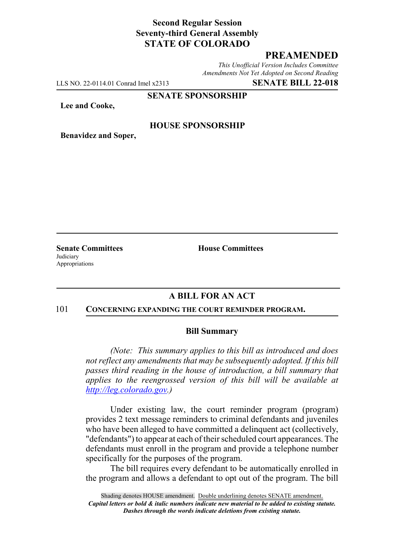# **Second Regular Session Seventy-third General Assembly STATE OF COLORADO**

# **PREAMENDED**

*This Unofficial Version Includes Committee Amendments Not Yet Adopted on Second Reading*

LLS NO. 22-0114.01 Conrad Imel x2313 **SENATE BILL 22-018**

#### **SENATE SPONSORSHIP**

**Lee and Cooke,**

### **HOUSE SPONSORSHIP**

**Benavidez and Soper,**

**Judiciary** Appropriations

**Senate Committees House Committees** 

## **A BILL FOR AN ACT**

#### 101 **CONCERNING EXPANDING THE COURT REMINDER PROGRAM.**

### **Bill Summary**

*(Note: This summary applies to this bill as introduced and does not reflect any amendments that may be subsequently adopted. If this bill passes third reading in the house of introduction, a bill summary that applies to the reengrossed version of this bill will be available at http://leg.colorado.gov.)*

Under existing law, the court reminder program (program) provides 2 text message reminders to criminal defendants and juveniles who have been alleged to have committed a delinquent act (collectively, "defendants") to appear at each of their scheduled court appearances. The defendants must enroll in the program and provide a telephone number specifically for the purposes of the program.

The bill requires every defendant to be automatically enrolled in the program and allows a defendant to opt out of the program. The bill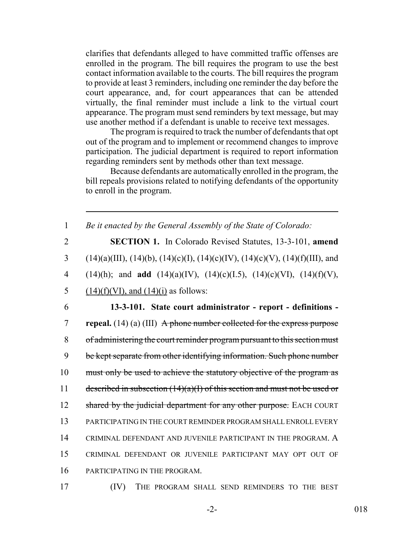clarifies that defendants alleged to have committed traffic offenses are enrolled in the program. The bill requires the program to use the best contact information available to the courts. The bill requires the program to provide at least 3 reminders, including one reminder the day before the court appearance, and, for court appearances that can be attended virtually, the final reminder must include a link to the virtual court appearance. The program must send reminders by text message, but may use another method if a defendant is unable to receive text messages.

The program is required to track the number of defendants that opt out of the program and to implement or recommend changes to improve participation. The judicial department is required to report information regarding reminders sent by methods other than text message.

Because defendants are automatically enrolled in the program, the bill repeals provisions related to notifying defendants of the opportunity to enroll in the program.

1 *Be it enacted by the General Assembly of the State of Colorado:*

2 **SECTION 1.** In Colorado Revised Statutes, 13-3-101, **amend** 3 (14)(a)(III), (14)(b), (14)(c)(I), (14)(c)(IV), (14)(c)(V), (14)(f)(III), and 4 (14)(h); and **add** (14)(a)(IV), (14)(c)(I.5), (14)(c)(VI), (14)(f)(V), 5 (14)(f)(VI), and  $(14)(i)$  as follows:

 **13-3-101. State court administrator - report - definitions - repeal.** (14) (a) (III) A phone number collected for the express purpose of administering the court reminder program pursuant to this section must 9 be kept separate from other identifying information. Such phone number 10 must only be used to achieve the statutory objective of the program as 11 described in subsection  $(14)(a)(I)$  of this section and must not be used or 12 shared by the judicial department for any other purpose. EACH COURT PARTICIPATING IN THE COURT REMINDER PROGRAM SHALL ENROLL EVERY CRIMINAL DEFENDANT AND JUVENILE PARTICIPANT IN THE PROGRAM. A CRIMINAL DEFENDANT OR JUVENILE PARTICIPANT MAY OPT OUT OF PARTICIPATING IN THE PROGRAM.

17 (IV) THE PROGRAM SHALL SEND REMINDERS TO THE BEST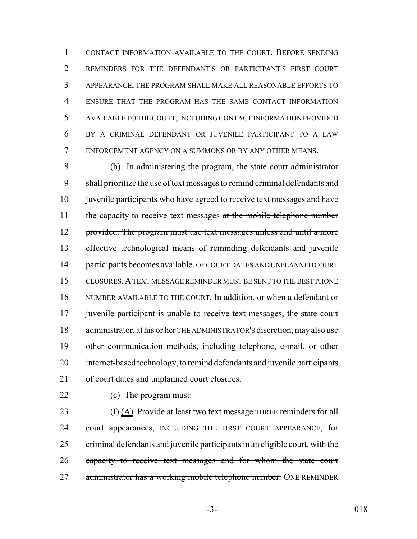CONTACT INFORMATION AVAILABLE TO THE COURT. BEFORE SENDING REMINDERS FOR THE DEFENDANT'S OR PARTICIPANT'S FIRST COURT APPEARANCE, THE PROGRAM SHALL MAKE ALL REASONABLE EFFORTS TO ENSURE THAT THE PROGRAM HAS THE SAME CONTACT INFORMATION AVAILABLE TO THE COURT, INCLUDING CONTACT INFORMATION PROVIDED BY A CRIMINAL DEFENDANT OR JUVENILE PARTICIPANT TO A LAW ENFORCEMENT AGENCY ON A SUMMONS OR BY ANY OTHER MEANS.

 (b) In administering the program, the state court administrator 9 shall prioritize the use of text messages to remind criminal defendants and 10 juvenile participants who have agreed to receive text messages and have 11 the capacity to receive text messages at the mobile telephone number 12 provided. The program must use text messages unless and until a more effective technological means of reminding defendants and juvenile 14 participants becomes available. OF COURT DATES AND UNPLANNED COURT CLOSURES.A TEXT MESSAGE REMINDER MUST BE SENT TO THE BEST PHONE NUMBER AVAILABLE TO THE COURT. In addition, or when a defendant or juvenile participant is unable to receive text messages, the state court 18 administrator, at his or her THE ADMINISTRATOR's discretion, may also use other communication methods, including telephone, e-mail, or other internet-based technology, to remind defendants and juvenile participants of court dates and unplanned court closures.

(c) The program must:

23 (I)  $(A)$  Provide at least two text message THREE reminders for all court appearances, INCLUDING THE FIRST COURT APPEARANCE, for 25 criminal defendants and juvenile participants in an eligible court. with the capacity to receive text messages and for whom the state court 27 administrator has a working mobile telephone number. ONE REMINDER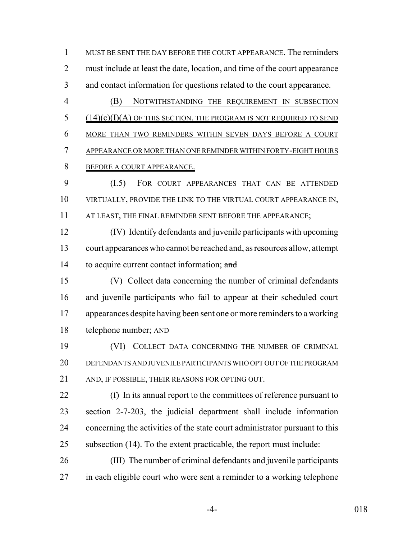MUST BE SENT THE DAY BEFORE THE COURT APPEARANCE. The reminders 2 must include at least the date, location, and time of the court appearance and contact information for questions related to the court appearance.

 (B) NOTWITHSTANDING THE REQUIREMENT IN SUBSECTION (14)(c)(I)(A) OF THIS SECTION, THE PROGRAM IS NOT REQUIRED TO SEND MORE THAN TWO REMINDERS WITHIN SEVEN DAYS BEFORE A COURT APPEARANCE OR MORE THAN ONE REMINDER WITHIN FORTY-EIGHT HOURS BEFORE A COURT APPEARANCE.

 (I.5) FOR COURT APPEARANCES THAT CAN BE ATTENDED VIRTUALLY, PROVIDE THE LINK TO THE VIRTUAL COURT APPEARANCE IN, AT LEAST, THE FINAL REMINDER SENT BEFORE THE APPEARANCE;

 (IV) Identify defendants and juvenile participants with upcoming court appearances who cannot be reached and, as resources allow, attempt 14 to acquire current contact information; and

 (V) Collect data concerning the number of criminal defendants and juvenile participants who fail to appear at their scheduled court appearances despite having been sent one or more reminders to a working telephone number; AND

 (VI) COLLECT DATA CONCERNING THE NUMBER OF CRIMINAL DEFENDANTS AND JUVENILE PARTICIPANTS WHO OPT OUT OF THE PROGRAM AND, IF POSSIBLE, THEIR REASONS FOR OPTING OUT.

 (f) In its annual report to the committees of reference pursuant to section 2-7-203, the judicial department shall include information concerning the activities of the state court administrator pursuant to this subsection (14). To the extent practicable, the report must include:

 (III) The number of criminal defendants and juvenile participants 27 in each eligible court who were sent a reminder to a working telephone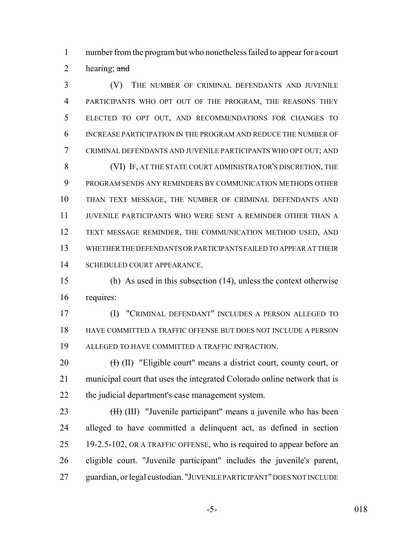number from the program but who nonetheless failed to appear for a court 2 hearing;  $\frac{and}{}$ 

 (V) THE NUMBER OF CRIMINAL DEFENDANTS AND JUVENILE PARTICIPANTS WHO OPT OUT OF THE PROGRAM, THE REASONS THEY ELECTED TO OPT OUT, AND RECOMMENDATIONS FOR CHANGES TO INCREASE PARTICIPATION IN THE PROGRAM AND REDUCE THE NUMBER OF CRIMINAL DEFENDANTS AND JUVENILE PARTICIPANTS WHO OPT OUT; AND (VI) IF, AT THE STATE COURT ADMINISTRATOR'S DISCRETION, THE PROGRAM SENDS ANY REMINDERS BY COMMUNICATION METHODS OTHER THAN TEXT MESSAGE, THE NUMBER OF CRIMINAL DEFENDANTS AND JUVENILE PARTICIPANTS WHO WERE SENT A REMINDER OTHER THAN A TEXT MESSAGE REMINDER, THE COMMUNICATION METHOD USED, AND WHETHER THE DEFENDANTS OR PARTICIPANTS FAILED TO APPEAR AT THEIR SCHEDULED COURT APPEARANCE.

 (h) As used in this subsection (14), unless the context otherwise requires:

 (I) "CRIMINAL DEFENDANT" INCLUDES A PERSON ALLEGED TO HAVE COMMITTED A TRAFFIC OFFENSE BUT DOES NOT INCLUDE A PERSON ALLEGED TO HAVE COMMITTED A TRAFFIC INFRACTION.

20  $(H)$  (II) "Eligible court" means a district court, county court, or municipal court that uses the integrated Colorado online network that is the judicial department's case management system.

23 (H<sub>t</sub>) (III) "Juvenile participant" means a juvenile who has been alleged to have committed a delinquent act, as defined in section 19-2.5-102, OR A TRAFFIC OFFENSE, who is required to appear before an eligible court. "Juvenile participant" includes the juvenile's parent, guardian, or legal custodian. "JUVENILE PARTICIPANT" DOES NOT INCLUDE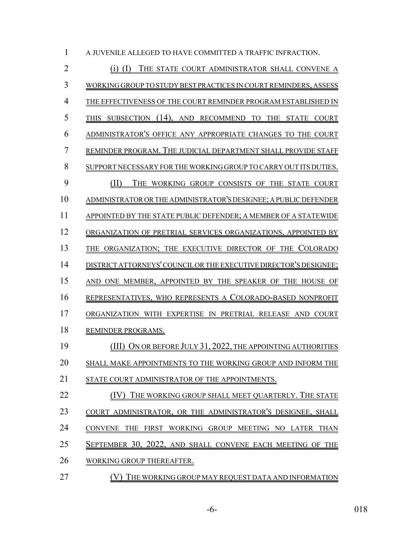| 1  | A JUVENILE ALLEGED TO HAVE COMMITTED A TRAFFIC INFRACTION.                                  |
|----|---------------------------------------------------------------------------------------------|
| 2  | THE STATE COURT ADMINISTRATOR SHALL CONVENE<br>(1)                                          |
| 3  | WORKING GROUP T<br>BEST PRACTICES IN COURT REMINDERS, ASSESS                                |
| 4  | EFFECTIVENESS OF THE COURT REMINDER PROGRAM ESTABLISHED                                     |
| 5  | $(14)$ .<br><b>SUBSECTION</b><br>AND RECOMMEND<br>THE<br><b>STATE</b><br><b>COURT</b><br>то |
| 6  | <b>ADMINISTRATOR'S OFFICE</b><br>ANY APPROPRIATE<br><b>CHANGES</b><br>TO THE COURT          |
| 7  | REMINDER PROGRAM. THE JUDICIAL DEPARTMENT SHALL PROVIDE STAFF                               |
| 8  | <b>SUPPORT</b><br>NECESSARY FOR THE WORKING GROUP TO CARRY OUT ITS DUTIES.                  |
| 9  | WORKING GROUP<br>THE.<br>CONSISTS OF<br>THE STATE<br><b>COURT</b>                           |
| 10 | ADMINISTRATOR OR THE ADMINISTRATOR'S DESIGNEE; A PUBLIC DEFENDER                            |
| 11 | APPOINTED BY<br>'HE STATE PUBLIC DEFENDER; A MEMBER OF A STATEWIDE                          |
| 12 | ORGANIZATION OF PRETRIAL SERVICES ORGANIZATIONS, APPOINTED                                  |
| 13 | DIRECTOR OF<br>THE COLORADO<br>ORGANIZATION:<br>THE<br><b>EXECUTIVE</b>                     |
| 14 | ATTORNEYS' COUNCIL OR THE EXECUTIVE DIRECTOR'S DESIGNEE;<br>DISTRICT                        |
| 15 | <b>ONE</b><br>MEMBER.<br><b>APPOINTED</b><br>BY<br>THE SPEAKER OF<br>THE .<br><b>HOUSE</b>  |
| 16 | REPRESENTATIVES, WHO REPRESENTS A COLORADO-BASED NONPROFIT                                  |
| 17 | EXPERTISE IN PRETRIAL RELEASE AND COURT<br>ORGANIZATION<br><b>WITH</b>                      |
| 18 | REMINDER PROGRAMS.                                                                          |
| 19 | ON OR BEFORE JULY 31, 2022, THE APPOINTING AUTHORITIES                                      |
| 20 | SHALL MAKE APPOINTMENTS TO THE WORKING GROUP AND INFORM THE                                 |
| 21 | STATE COURT ADMINISTRATOR OF THE APPOINTMENTS.                                              |
| 22 | (IV) THE WORKING GROUP SHALL MEET QUARTERLY. THE STATE                                      |
| 23 | COURT ADMINISTRATOR, OR THE ADMINISTRATOR'S DESIGNEE, SHALL                                 |
| 24 | CONVENE THE FIRST WORKING GROUP MEETING NO LATER THAN                                       |
| 25 | SEPTEMBER 30, 2022, AND SHALL CONVENE EACH MEETING OF THE                                   |
| 26 | <b>WORKING GROUP THEREAFTER.</b>                                                            |
| 27 | THE WORKING GROUP MAY REQUEST DATA AND INFORMATION                                          |

-6- 018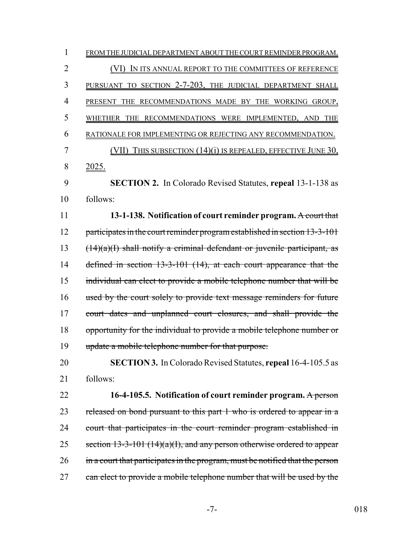| 1              | FROM THE JUDICIAL DEPARTMENT ABOUT THE COURT REMINDER PROGRAM.                |
|----------------|-------------------------------------------------------------------------------|
| $\overline{2}$ | IN ITS ANNUAL REPORT TO THE COMMITTEES OF REFERENCE<br>(VI)                   |
| 3              | PURSUANT TO SECTION 2-7-203, THE JUDICIAL DEPARTMENT SHALL                    |
| 4              | PRESENT THE RECOMMENDATIONS MADE BY THE WORKING GROUP,                        |
| 5              | WHETHER THE RECOMMENDATIONS WERE IMPLEMENTED, AND THE                         |
| 6              | RATIONALE FOR IMPLEMENTING OR REJECTING ANY RECOMMENDATION.                   |
| 7              | THIS SUBSECTION $(14)(i)$ IS REPEALED, EFFECTIVE JUNE 30,<br>(VII)            |
| 8              | <u>2025.</u>                                                                  |
| 9              | <b>SECTION 2.</b> In Colorado Revised Statutes, repeal 13-1-138 as            |
| 10             | follows:                                                                      |
| 11             | 13-1-138. Notification of court reminder program. A court that                |
| 12             | participates in the court reminder program established in section 13-3-101    |
| 13             | $(14)(a)(I)$ shall notify a criminal defendant or juvenile participant, as    |
| 14             | defined in section 13-3-101 (14), at each court appearance that the           |
| 15             | individual can elect to provide a mobile telephone number that will be        |
| 16             | used by the court solely to provide text message reminders for future         |
| 17             | court dates and unplanned court closures, and shall provide the               |
| 18             | opportunity for the individual to provide a mobile telephone number or        |
| 19             | update a mobile telephone number for that purpose.                            |
| 20             | SECTION 3. In Colorado Revised Statutes, repeal 16-4-105.5 as                 |
| 21             | follows:                                                                      |
| 22             | 16-4-105.5. Notification of court reminder program. A person                  |
| 23             | released on bond pursuant to this part 1 who is ordered to appear in a        |
| 24             | court that participates in the court reminder program established in          |
| 25             | section $13-3-101$ $(14)(a)(1)$ , and any person otherwise ordered to appear  |
| 26             | in a court that participates in the program, must be notified that the person |
| 27             | can elect to provide a mobile telephone number that will be used by the       |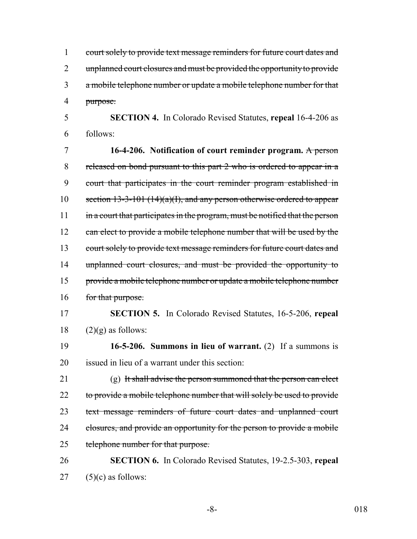1 court solely to provide text message reminders for future court dates and 2 unplanned court closures and must be provided the opportunity to provide 3 a mobile telephone number or update a mobile telephone number for that 4 purpose.

5 **SECTION 4.** In Colorado Revised Statutes, **repeal** 16-4-206 as 6 follows:

7 **16-4-206. Notification of court reminder program.** A person 8 released on bond pursuant to this part 2 who is ordered to appear in a 9 court that participates in the court reminder program established in 10 section  $13-3-101$  (14)(a)(I), and any person otherwise ordered to appear 11 in a court that participates in the program, must be notified that the person 12 can elect to provide a mobile telephone number that will be used by the 13 court solely to provide text message reminders for future court dates and 14 unplanned court closures, and must be provided the opportunity to 15 provide a mobile telephone number or update a mobile telephone number 16 for that purpose.

17 **SECTION 5.** In Colorado Revised Statutes, 16-5-206, **repeal**  $18$  (2)(g) as follows:

19 **16-5-206. Summons in lieu of warrant.** (2) If a summons is 20 issued in lieu of a warrant under this section:

21 (g) It shall advise the person summoned that the person can elect 22 to provide a mobile telephone number that will solely be used to provide 23 text message reminders of future court dates and unplanned court 24 closures, and provide an opportunity for the person to provide a mobile 25 telephone number for that purpose.

26 **SECTION 6.** In Colorado Revised Statutes, 19-2.5-303, **repeal**  $27$  (5)(c) as follows:

-8- 018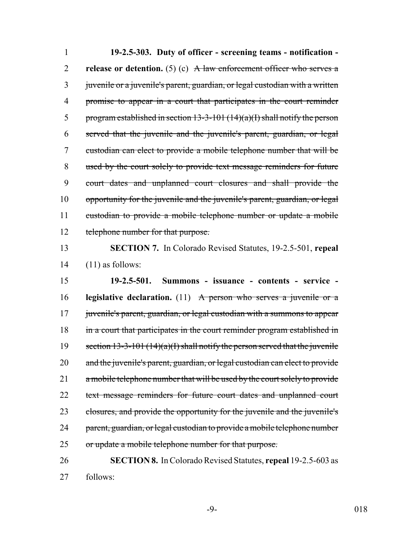**19-2.5-303. Duty of officer - screening teams - notification - release or detention.** (5) (c)  $A$  law enforcement officer who serves a 3 juvenile or a juvenile's parent, guardian, or legal custodian with a written promise to appear in a court that participates in the court reminder 5 program established in section  $13-3-101$   $(14)(a)(I)$  shall notify the person served that the juvenile and the juvenile's parent, guardian, or legal custodian can elect to provide a mobile telephone number that will be used by the court solely to provide text message reminders for future court dates and unplanned court closures and shall provide the opportunity for the juvenile and the juvenile's parent, guardian, or legal custodian to provide a mobile telephone number or update a mobile 12 telephone number for that purpose.

13 **SECTION 7.** In Colorado Revised Statutes, 19-2.5-501, **repeal**  $14$  (11) as follows:

15 **19-2.5-501. Summons - issuance - contents - service -** 16 **legislative declaration.** (11) A person who serves a juvenile or a 17 juvenile's parent, guardian, or legal custodian with a summons to appear 18 in a court that participates in the court reminder program established in 19 section  $13-3-101(14)(a)(1)$  shall notify the person served that the juvenile 20 and the juvenile's parent, guardian, or legal custodian can elect to provide 21 a mobile telephone number that will be used by the court solely to provide 22 text message reminders for future court dates and unplanned court 23 closures, and provide the opportunity for the juvenile and the juvenile's 24 parent, guardian, or legal custodian to provide a mobile telephone number 25 or update a mobile telephone number for that purpose.

26 **SECTION 8.** In Colorado Revised Statutes, **repeal** 19-2.5-603 as 27 follows: